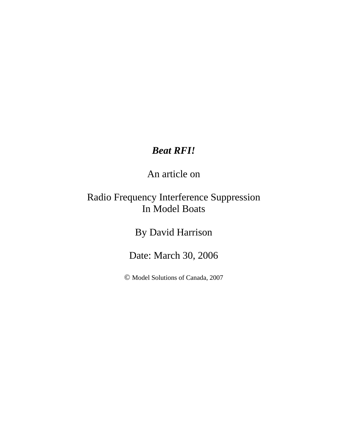# *Beat RFI!*

An article on

## Radio Frequency Interference Suppression In Model Boats

By David Harrison

Date: March 30, 2006

© Model Solutions of Canada, 2007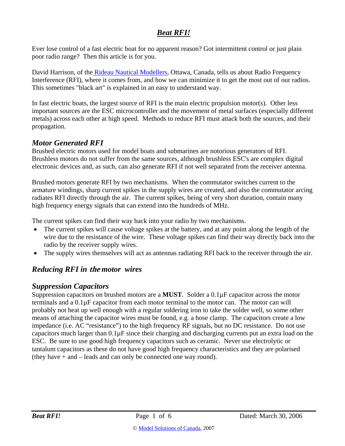## *Beat RFI!*

Ever lose control of a fast electric boat for no apparent reason? Got intermittent control or just plain poor radio range? Then this article is for you.

David Harrison, of the Rideau Nautical Modellers, Ottawa, Canada, tells us about Radio Frequency Interference (RFI), where it comes from, and how we can minimize it to get the most out of our radios. This sometimes "black art" is explained in an easy to understand way.

In fast electric boats, the largest source of RFI is the main electric propulsion motor(s). Other less important sources are the ESC microcontroller and the movement of metal surfaces (especially different metals) across each other at high speed. Methods to reduce RFI must attack both the sources, and their propagation.

## *Motor Generated RFI*

Brushed electric motors used for model boats and submarines are notorious generators of RFI. Brushless motors do not suffer from the same sources, although brushless ESC's are complex digital electronic devices and, as such, can also generate RFI if not well separated from the receiver antenna.

Brushed motors generate RFI by two mechanisms. When the commutator switches current to the armature windings, sharp current spikes in the supply wires are created, and also the commutator arcing radiates RFI directly through the air. The current spikes, being of very short duration, contain many high frequency energy signals that can extend into the hundreds of MHz.

The current spikes can find their way back into your radio by two mechanisms.

- The current spikes will cause voltage spikes at the battery, and at any point along the length of the wire due to the resistance of the wire. These voltage spikes can find their way directly back into the radio by the receiver supply wires.
- The supply wires themselves will act as antennas radiating RFI back to the receiver through the air.

## *Reducing RFI in* **the** *motor wires*

## *Suppression Capacitors*

Suppression capacitors on brushed motors are a **MUST**. Solder a 0.1µF capacitor across the motor terminals and a 0.1µF capacitor from each motor terminal to the motor can. The motor can will probably not heat up well enough with a regular soldering iron to take the solder well, so some other means of attaching the capacitor wires must be found, e.g. a hose clamp. The capacitors create a low impedance (i.e. AC "resistance") to the high frequency RF signals, but no DC resistance. Do not use capacitors much larger than  $0.1\mu$ F since their charging and discharging currents put an extra load on the ESC. Be sure to use good high frequency capacitors such as ceramic. Never use electrolytic or tantalum capacitors as these do not have good high frequency characteristics and they are polarised (they have + and – leads and can only be connected one way round).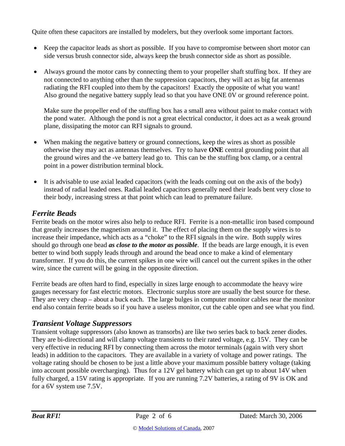Quite often these capacitors are installed by modelers, but they overlook some important factors.

- Keep the capacitor leads as short as possible. If you have to compromise between short motor can side versus brush connector side, always keep the brush connector side as short as possible.
- Always ground the motor cans by connecting them to your propeller shaft stuffing box. If they are not connected to anything other than the suppression capacitors, they will act as big fat antennas radiating the RFI coupled into them by the capacitors! Exactly the opposite of what you want! Also ground the negative battery supply lead so that you have ONE 0V or ground reference point.

Make sure the propeller end of the stuffing box has a small area without paint to make contact with the pond water. Although the pond is not a great electrical conductor, it does act as a weak ground plane, dissipating the motor can RFI signals to ground.

- When making the negative battery or ground connections, keep the wires as short as possible otherwise they may act as antennas themselves. Try to have **ONE** central grounding point that all the ground wires and the -ve battery lead go to. This can be the stuffing box clamp, or a central point in a power distribution terminal block.
- It is advisable to use axial leaded capacitors (with the leads coming out on the axis of the body) instead of radial leaded ones. Radial leaded capacitors generally need their leads bent very close to their body, increasing stress at that point which can lead to premature failure.

## *Ferrite Beads*

Ferrite beads on the motor wires also help to reduce RFI. Ferrite is a non-metallic iron based compound that greatly increases the magnetism around it. The effect of placing them on the supply wires is to increase their impedance, which acts as a "choke" to the RFI signals in the wire. Both supply wires should go through one bead *as close to the motor as possible*. If the beads are large enough, it is even better to wind both supply leads through and around the bead once to make a kind of elementary transformer. If you do this, the current spikes in one wire will cancel out the current spikes in the other wire, since the current will be going in the opposite direction.

Ferrite beads are often hard to find, especially in sizes large enough to accommodate the heavy wire gauges necessary for fast electric motors. Electronic surplus store are usually the best source for these. They are very cheap – about a buck each. The large bulges in computer monitor cables near the monitor end also contain ferrite beads so if you have a useless monitor, cut the cable open and see what you find.

## *Transient Voltage Suppressors*

Transient voltage suppressors (also known as transorbs) are like two series back to back zener diodes. They are bi-directional and will clamp voltage transients to their rated voltage, e.g. 15V. They can be very effective in reducing RFI by connecting them across the motor terminals (again with very short leads) in addition to the capacitors. They are available in a variety of voltage and power ratings. The voltage rating should be chosen to be just a little above your maximum possible battery voltage (taking into account possible overcharging). Thus for a 12V gel battery which can get up to about 14V when fully charged, a 15V rating is appropriate. If you are running 7.2V batteries, a rating of 9V is OK and for a 6V system use 7.5V.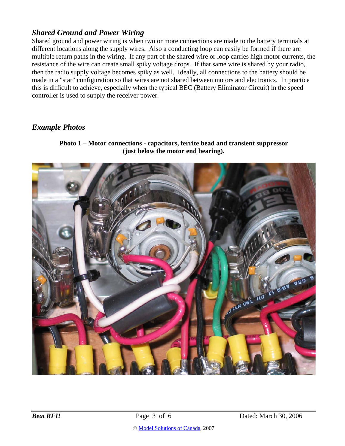#### *Shared Ground and Power Wiring*

Shared ground and power wiring is when two or more connections are made to the battery terminals at different locations along the supply wires. Also a conducting loop can easily be formed if there are multiple return paths in the wiring. If any part of the shared wire or loop carries high motor currents, the resistance of the wire can create small spiky voltage drops. If that same wire is shared by your radio, then the radio supply voltage becomes spiky as well. Ideally, all connections to the battery should be made in a "star" configuration so that wires are not shared between motors and electronics. In practice this is difficult to achieve, especially when the typical BEC (Battery Eliminator Circuit) in the speed controller is used to supply the receiver power.

#### *Example Photos*

**Photo 1 – Motor connections - capacitors, ferrite bead and transient suppressor (just below the motor end bearing).** 



© Model Solutions of Canada, 2007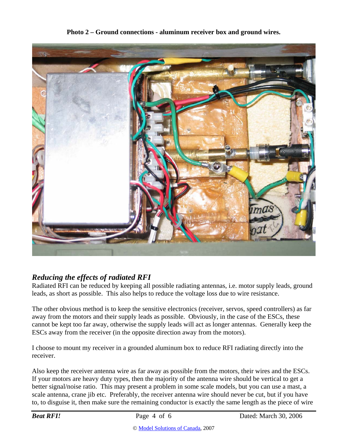

**Photo 2 – Ground connections - aluminum receiver box and ground wires.** 

## *Reducing the effects of radiated RFI*

Radiated RFI can be reduced by keeping all possible radiating antennas, i.e. motor supply leads, ground leads, as short as possible. This also helps to reduce the voltage loss due to wire resistance.

The other obvious method is to keep the sensitive electronics (receiver, servos, speed controllers) as far away from the motors and their supply leads as possible. Obviously, in the case of the ESCs, these cannot be kept too far away, otherwise the supply leads will act as longer antennas. Generally keep the ESCs away from the receiver (in the opposite direction away from the motors).

I choose to mount my receiver in a grounded aluminum box to reduce RFI radiating directly into the receiver.

Also keep the receiver antenna wire as far away as possible from the motors, their wires and the ESCs. If your motors are heavy duty types, then the majority of the antenna wire should be vertical to get a better signal/noise ratio. This may present a problem in some scale models, but you can use a mast, a scale antenna, crane jib etc. Preferably, the receiver antenna wire should never be cut, but if you have to, to disguise it, then make sure the remaining conductor is exactly the same length as the piece of wire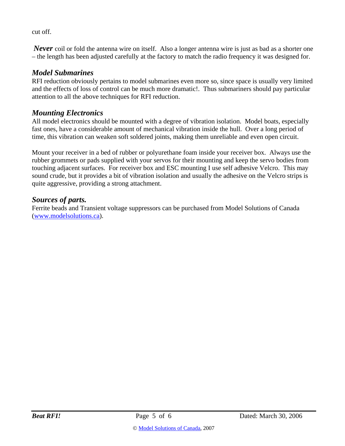cut off.

*Never* coil or fold the antenna wire on itself. Also a longer antenna wire is just as bad as a shorter one – the length has been adjusted carefully at the factory to match the radio frequency it was designed for.

#### *Model Submarines*

RFI reduction obviously pertains to model submarines even more so, since space is usually very limited and the effects of loss of control can be much more dramatic!. Thus submariners should pay particular attention to all the above techniques for RFI reduction.

#### *Mounting Electronics*

All model electronics should be mounted with a degree of vibration isolation. Model boats, especially fast ones, have a considerable amount of mechanical vibration inside the hull. Over a long period of time, this vibration can weaken soft soldered joints, making them unreliable and even open circuit.

Mount your receiver in a bed of rubber or polyurethane foam inside your receiver box. Always use the rubber grommets or pads supplied with your servos for their mounting and keep the servo bodies from touching adjacent surfaces. For receiver box and ESC mounting I use self adhesive Velcro. This may sound crude, but it provides a bit of vibration isolation and usually the adhesive on the Velcro strips is quite aggressive, providing a strong attachment.

#### *Sources of parts.*

Ferrite beads and Transient voltage suppressors can be purchased from Model Solutions of Canada (www.modelsolutions.ca).